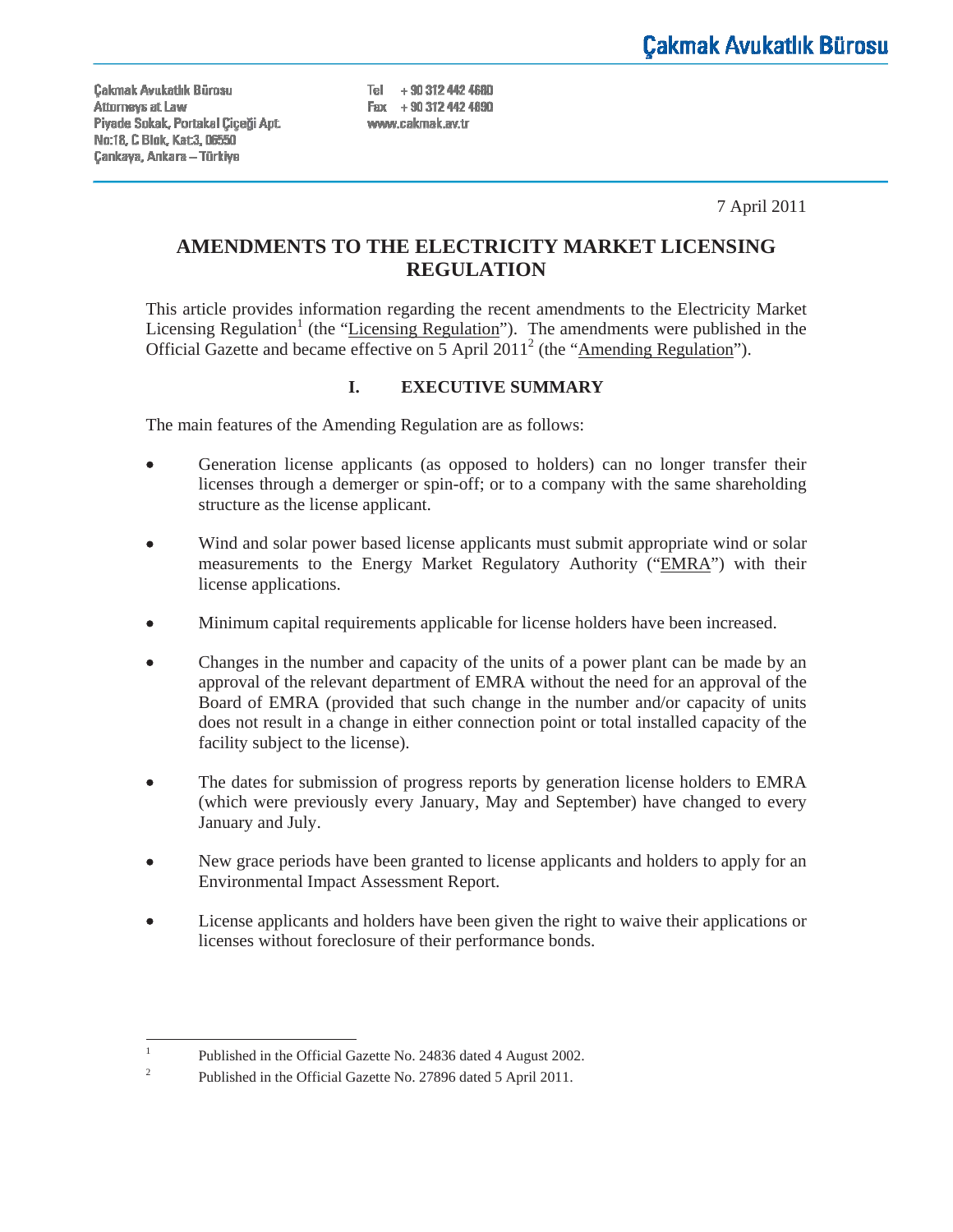Cakmak Avukatlık Bürosu Attorneys at Law Piyade Sokak, Portakal Ciceği Apt. No:18, C Blok, Kat 3, 06550 Çankaya, Ankara - Türkiye

Tel +90 312 442 4680  $Fav + 903124424890$ www.cakmak.av.tr

7 April 2011

# **AMENDMENTS TO THE ELECTRICITY MARKET LICENSING REGULATION**

This article provides information regarding the recent amendments to the Electricity Market Licensing Regulation<sup>1</sup> (the "Licensing Regulation"). The amendments were published in the Official Gazette and became effective on  $5$  April 2011<sup>2</sup> (the "Amending Regulation").

# **I. EXECUTIVE SUMMARY**

The main features of the Amending Regulation are as follows:

- Generation license applicants (as opposed to holders) can no longer transfer their licenses through a demerger or spin-off; or to a company with the same shareholding structure as the license applicant.
- Wind and solar power based license applicants must submit appropriate wind or solar measurements to the Energy Market Regulatory Authority ("EMRA") with their license applications.
- Minimum capital requirements applicable for license holders have been increased.
- Changes in the number and capacity of the units of a power plant can be made by an approval of the relevant department of EMRA without the need for an approval of the Board of EMRA (provided that such change in the number and/or capacity of units does not result in a change in either connection point or total installed capacity of the facility subject to the license).
- The dates for submission of progress reports by generation license holders to EMRA (which were previously every January, May and September) have changed to every January and July.
- New grace periods have been granted to license applicants and holders to apply for an Environmental Impact Assessment Report.
- License applicants and holders have been given the right to waive their applications or licenses without foreclosure of their performance bonds.

<sup>1</sup> Published in the Official Gazette No. 24836 dated 4 August 2002.

<sup>2</sup> Published in the Official Gazette No. 27896 dated 5 April 2011.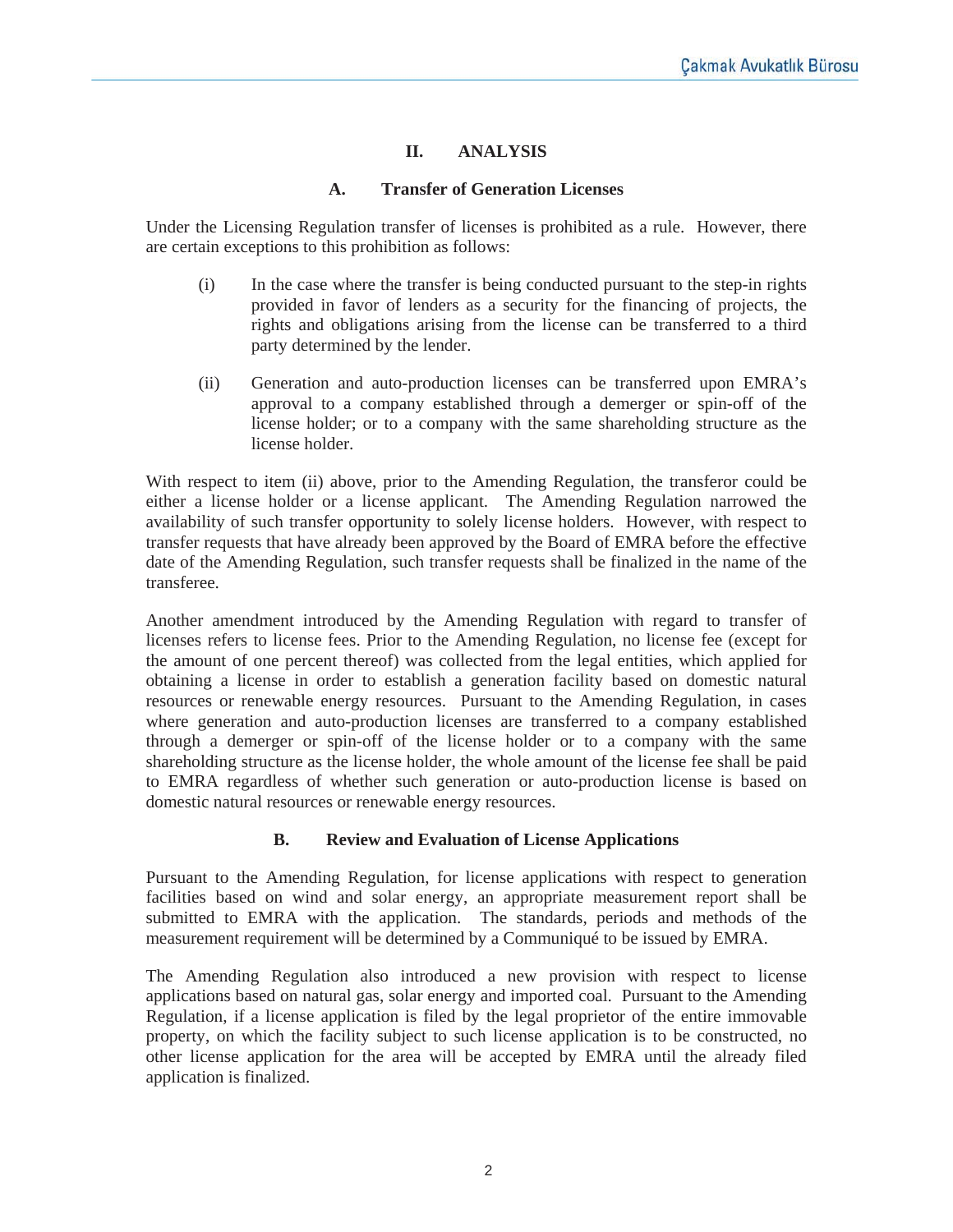### **II. ANALYSIS**

#### **A. Transfer of Generation Licenses**

Under the Licensing Regulation transfer of licenses is prohibited as a rule. However, there are certain exceptions to this prohibition as follows:

- (i) In the case where the transfer is being conducted pursuant to the step-in rights provided in favor of lenders as a security for the financing of projects, the rights and obligations arising from the license can be transferred to a third party determined by the lender.
- (ii) Generation and auto-production licenses can be transferred upon EMRA's approval to a company established through a demerger or spin-off of the license holder; or to a company with the same shareholding structure as the license holder.

With respect to item (ii) above, prior to the Amending Regulation, the transferor could be either a license holder or a license applicant. The Amending Regulation narrowed the availability of such transfer opportunity to solely license holders. However, with respect to transfer requests that have already been approved by the Board of EMRA before the effective date of the Amending Regulation, such transfer requests shall be finalized in the name of the transferee.

Another amendment introduced by the Amending Regulation with regard to transfer of licenses refers to license fees. Prior to the Amending Regulation, no license fee (except for the amount of one percent thereof) was collected from the legal entities, which applied for obtaining a license in order to establish a generation facility based on domestic natural resources or renewable energy resources. Pursuant to the Amending Regulation, in cases where generation and auto-production licenses are transferred to a company established through a demerger or spin-off of the license holder or to a company with the same shareholding structure as the license holder, the whole amount of the license fee shall be paid to EMRA regardless of whether such generation or auto-production license is based on domestic natural resources or renewable energy resources.

#### **B. Review and Evaluation of License Applications**

Pursuant to the Amending Regulation, for license applications with respect to generation facilities based on wind and solar energy, an appropriate measurement report shall be submitted to EMRA with the application. The standards, periods and methods of the measurement requirement will be determined by a Communiqué to be issued by EMRA.

The Amending Regulation also introduced a new provision with respect to license applications based on natural gas, solar energy and imported coal. Pursuant to the Amending Regulation, if a license application is filed by the legal proprietor of the entire immovable property, on which the facility subject to such license application is to be constructed, no other license application for the area will be accepted by EMRA until the already filed application is finalized.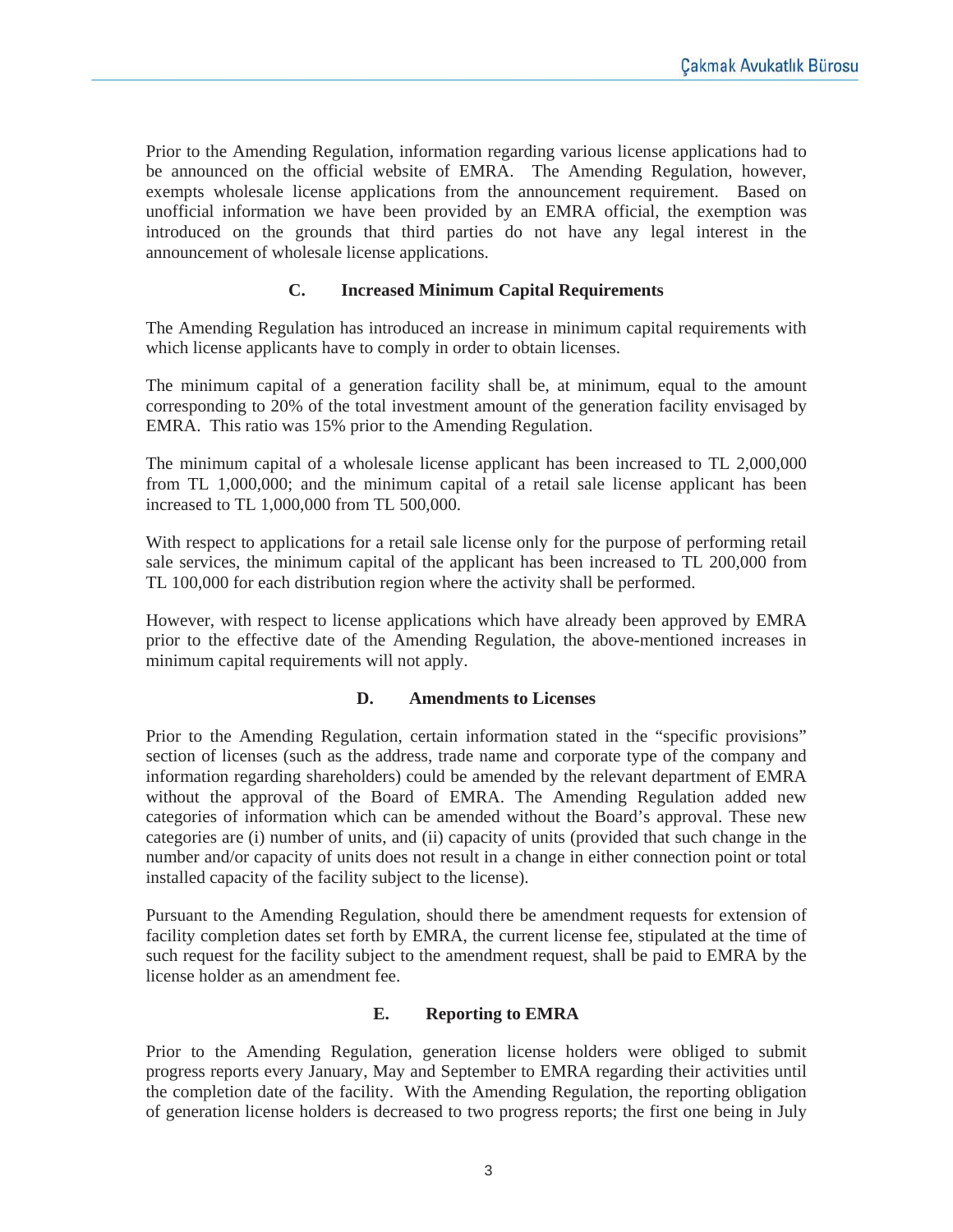Prior to the Amending Regulation, information regarding various license applications had to be announced on the official website of EMRA. The Amending Regulation, however, exempts wholesale license applications from the announcement requirement. Based on unofficial information we have been provided by an EMRA official, the exemption was introduced on the grounds that third parties do not have any legal interest in the announcement of wholesale license applications.

# **C. Increased Minimum Capital Requirements**

The Amending Regulation has introduced an increase in minimum capital requirements with which license applicants have to comply in order to obtain licenses.

The minimum capital of a generation facility shall be, at minimum, equal to the amount corresponding to 20% of the total investment amount of the generation facility envisaged by EMRA. This ratio was 15% prior to the Amending Regulation.

The minimum capital of a wholesale license applicant has been increased to TL 2,000,000 from TL 1,000,000; and the minimum capital of a retail sale license applicant has been increased to TL 1,000,000 from TL 500,000.

With respect to applications for a retail sale license only for the purpose of performing retail sale services, the minimum capital of the applicant has been increased to TL 200,000 from TL 100,000 for each distribution region where the activity shall be performed.

However, with respect to license applications which have already been approved by EMRA prior to the effective date of the Amending Regulation, the above-mentioned increases in minimum capital requirements will not apply.

#### **D. Amendments to Licenses**

Prior to the Amending Regulation, certain information stated in the "specific provisions" section of licenses (such as the address, trade name and corporate type of the company and information regarding shareholders) could be amended by the relevant department of EMRA without the approval of the Board of EMRA. The Amending Regulation added new categories of information which can be amended without the Board's approval. These new categories are (i) number of units, and (ii) capacity of units (provided that such change in the number and/or capacity of units does not result in a change in either connection point or total installed capacity of the facility subject to the license).

Pursuant to the Amending Regulation, should there be amendment requests for extension of facility completion dates set forth by EMRA, the current license fee, stipulated at the time of such request for the facility subject to the amendment request, shall be paid to EMRA by the license holder as an amendment fee.

### **E. Reporting to EMRA**

Prior to the Amending Regulation, generation license holders were obliged to submit progress reports every January, May and September to EMRA regarding their activities until the completion date of the facility. With the Amending Regulation, the reporting obligation of generation license holders is decreased to two progress reports; the first one being in July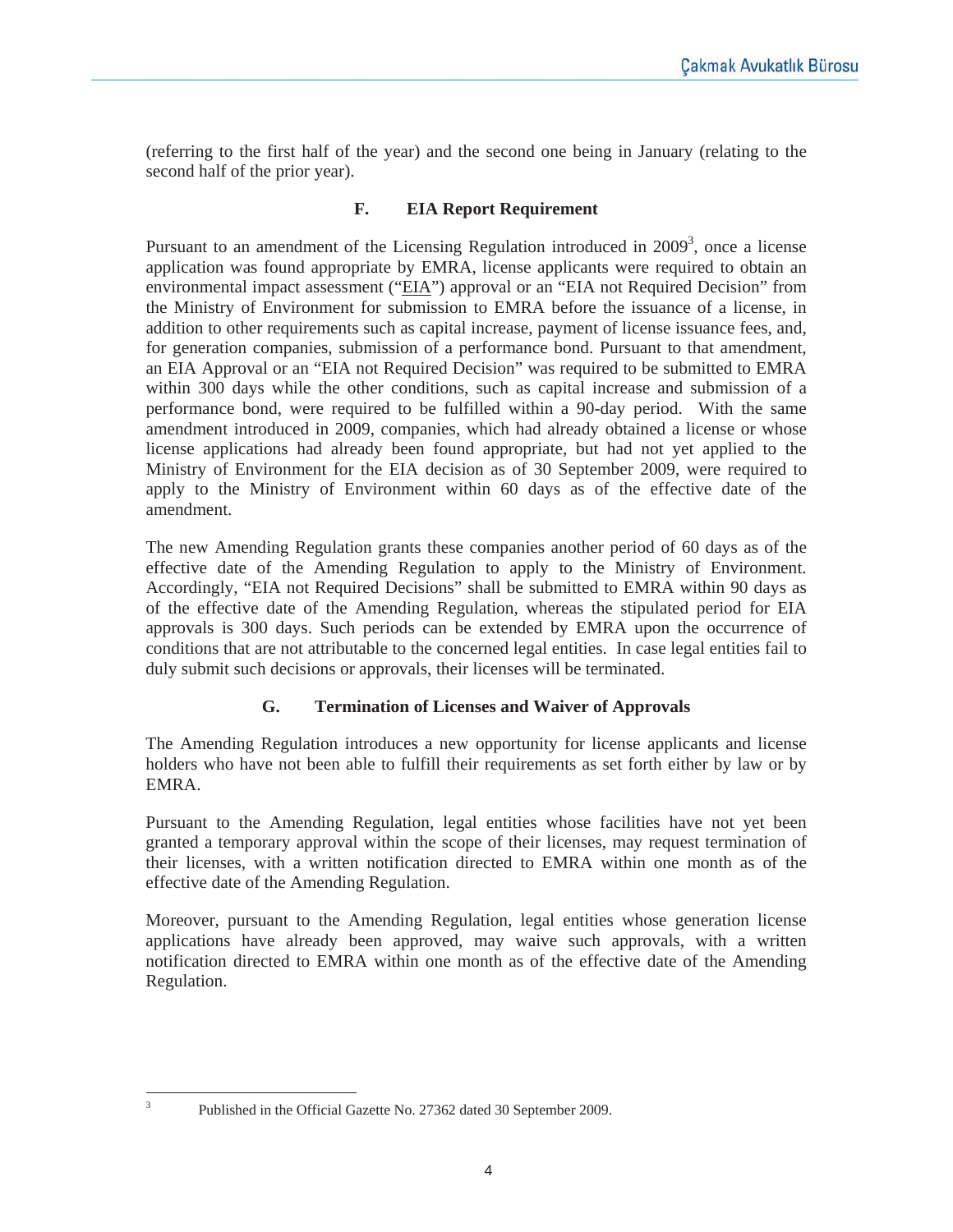(referring to the first half of the year) and the second one being in January (relating to the second half of the prior year).

# **F. EIA Report Requirement**

Pursuant to an amendment of the Licensing Regulation introduced in  $2009<sup>3</sup>$ , once a license application was found appropriate by EMRA, license applicants were required to obtain an environmental impact assessment ("EIA") approval or an "EIA not Required Decision" from the Ministry of Environment for submission to EMRA before the issuance of a license, in addition to other requirements such as capital increase, payment of license issuance fees, and, for generation companies, submission of a performance bond. Pursuant to that amendment, an EIA Approval or an "EIA not Required Decision" was required to be submitted to EMRA within 300 days while the other conditions, such as capital increase and submission of a performance bond, were required to be fulfilled within a 90-day period. With the same amendment introduced in 2009, companies, which had already obtained a license or whose license applications had already been found appropriate, but had not yet applied to the Ministry of Environment for the EIA decision as of 30 September 2009, were required to apply to the Ministry of Environment within 60 days as of the effective date of the amendment.

The new Amending Regulation grants these companies another period of 60 days as of the effective date of the Amending Regulation to apply to the Ministry of Environment. Accordingly, "EIA not Required Decisions" shall be submitted to EMRA within 90 days as of the effective date of the Amending Regulation, whereas the stipulated period for EIA approvals is 300 days. Such periods can be extended by EMRA upon the occurrence of conditions that are not attributable to the concerned legal entities. In case legal entities fail to duly submit such decisions or approvals, their licenses will be terminated.

# **G. Termination of Licenses and Waiver of Approvals**

The Amending Regulation introduces a new opportunity for license applicants and license holders who have not been able to fulfill their requirements as set forth either by law or by EMRA.

Pursuant to the Amending Regulation, legal entities whose facilities have not yet been granted a temporary approval within the scope of their licenses, may request termination of their licenses, with a written notification directed to EMRA within one month as of the effective date of the Amending Regulation.

Moreover, pursuant to the Amending Regulation, legal entities whose generation license applications have already been approved, may waive such approvals, with a written notification directed to EMRA within one month as of the effective date of the Amending Regulation.

3

Published in the Official Gazette No. 27362 dated 30 September 2009.